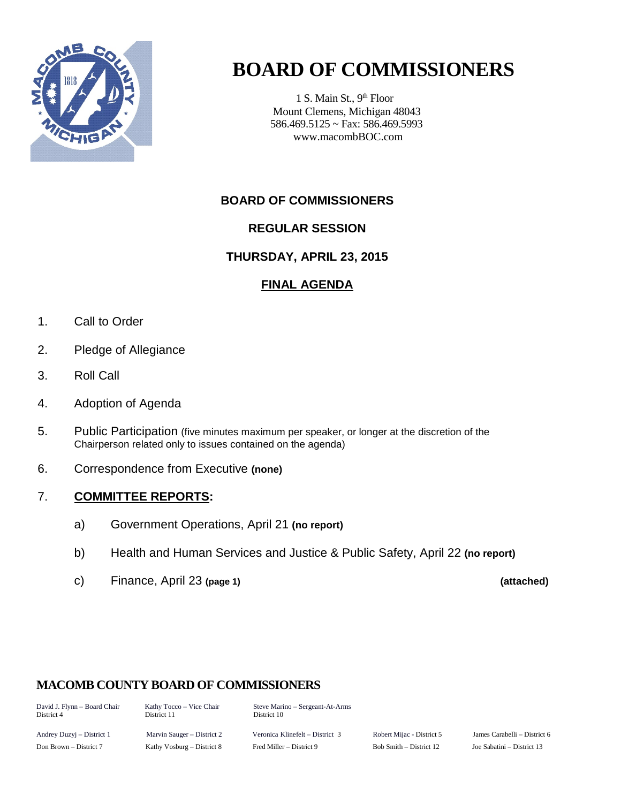

# **BOARD OF COMMISSIONERS**

1 S. Main St., 9<sup>th</sup> Floor Mount Clemens, Michigan 48043 586.469.5125 ~ Fax: 586.469.5993 www.macombBOC.com

### **BOARD OF COMMISSIONERS**

### **REGULAR SESSION**

### **THURSDAY, APRIL 23, 2015**

### **FINAL AGENDA**

- 1. Call to Order
- 2. Pledge of Allegiance
- 3. Roll Call
- 4. Adoption of Agenda
- 5. Public Participation (five minutes maximum per speaker, or longer at the discretion of the Chairperson related only to issues contained on the agenda)
- 6. Correspondence from Executive **(none)**

### 7. **COMMITTEE REPORTS:**

- a) Government Operations, April 21 **(no report)**
- b) Health and Human Services and Justice & Public Safety, April 22 **(no report)**
- c) Finance, April 23 **(page 1) (attached)**

### **MACOMB COUNTY BOARD OF COMMISSIONERS**

David J. Flynn – Board Chair Kathy Tocco – Vice Chair Steve Marino – Sergeant-At-Arms District 10

Andrey Duzyj – District 1 Marvin Sauger – District 2 Veronica Klinefelt – District 3 Robert Mijac - District 5 James Carabelli – District 6 Don Brown – District 7 Kathy Vosburg – District 8 Fred Miller – District 9 Bob Smith – District 12 Joe Sabatini – District 13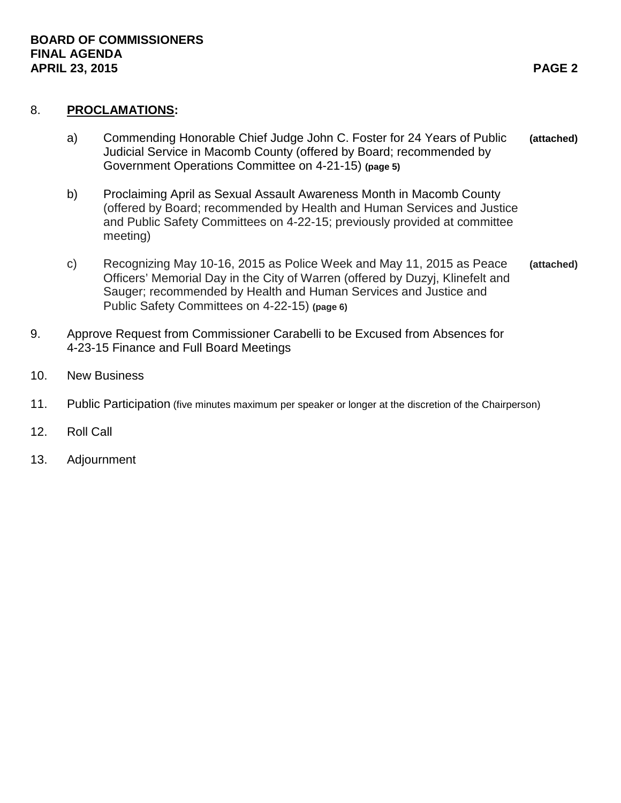#### 8. **PROCLAMATIONS:**

- a) Commending Honorable Chief Judge John C. Foster for 24 Years of Public **(attached)** Judicial Service in Macomb County (offered by Board; recommended by Government Operations Committee on 4-21-15) **(page 5)**
- b) Proclaiming April as Sexual Assault Awareness Month in Macomb County (offered by Board; recommended by Health and Human Services and Justice and Public Safety Committees on 4-22-15; previously provided at committee meeting)
- c) Recognizing May 10-16, 2015 as Police Week and May 11, 2015 as Peace **(attached)** Officers' Memorial Day in the City of Warren (offered by Duzyj, Klinefelt and Sauger; recommended by Health and Human Services and Justice and Public Safety Committees on 4-22-15) **(page 6)**
- 9. Approve Request from Commissioner Carabelli to be Excused from Absences for 4-23-15 Finance and Full Board Meetings
- 10. New Business
- 11. Public Participation (five minutes maximum per speaker or longer at the discretion of the Chairperson)
- 12. Roll Call
- 13. Adjournment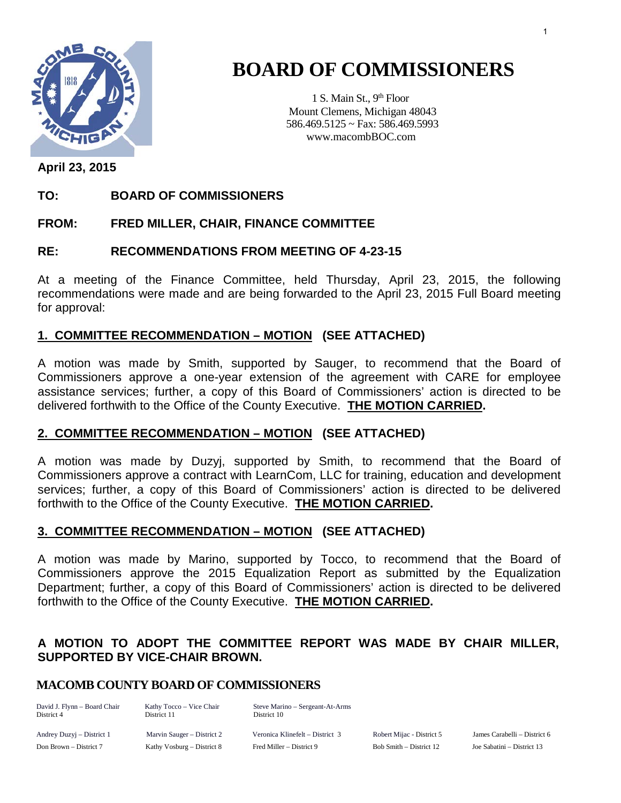

# **BOARD OF COMMISSIONERS**

1 S. Main St., 9<sup>th</sup> Floor Mount Clemens, Michigan 48043 586.469.5125 ~ Fax: 586.469.5993 www.macombBOC.com

**April 23, 2015**

### **TO: BOARD OF COMMISSIONERS**

### **FROM: FRED MILLER, CHAIR, FINANCE COMMITTEE**

### **RE: RECOMMENDATIONS FROM MEETING OF 4-23-15**

At a meeting of the Finance Committee, held Thursday, April 23, 2015, the following recommendations were made and are being forwarded to the April 23, 2015 Full Board meeting for approval:

### **1. COMMITTEE RECOMMENDATION – MOTION (SEE ATTACHED)**

A motion was made by Smith, supported by Sauger, to recommend that the Board of Commissioners approve a one-year extension of the agreement with CARE for employee assistance services; further, a copy of this Board of Commissioners' action is directed to be delivered forthwith to the Office of the County Executive. **THE MOTION CARRIED.** 

### **2. COMMITTEE RECOMMENDATION – MOTION (SEE ATTACHED)**

A motion was made by Duzyj, supported by Smith, to recommend that the Board of Commissioners approve a contract with LearnCom, LLC for training, education and development services; further, a copy of this Board of Commissioners' action is directed to be delivered forthwith to the Office of the County Executive. **THE MOTION CARRIED.**

### **3. COMMITTEE RECOMMENDATION – MOTION (SEE ATTACHED)**

A motion was made by Marino, supported by Tocco, to recommend that the Board of Commissioners approve the 2015 Equalization Report as submitted by the Equalization Department; further, a copy of this Board of Commissioners' action is directed to be delivered forthwith to the Office of the County Executive. **THE MOTION CARRIED.** 

### **A MOTION TO ADOPT THE COMMITTEE REPORT WAS MADE BY CHAIR MILLER, SUPPORTED BY VICE-CHAIR BROWN.**

### **MACOMB COUNTY BOARD OF COMMISSIONERS**

David J. Flynn – Board Chair Kathy Tocco – Vice Chair Steve Marino – Sergeant-At-Arms District 10

Andrey Duzyj – District 1 Marvin Sauger – District 2 Veronica Klinefelt – District 3 Robert Mijac - District 5 James Carabelli – District 6 Don Brown – District 7 Kathy Vosburg – District 8 Fred Miller – District 9 Bob Smith – District 12 Joe Sabatini – District 13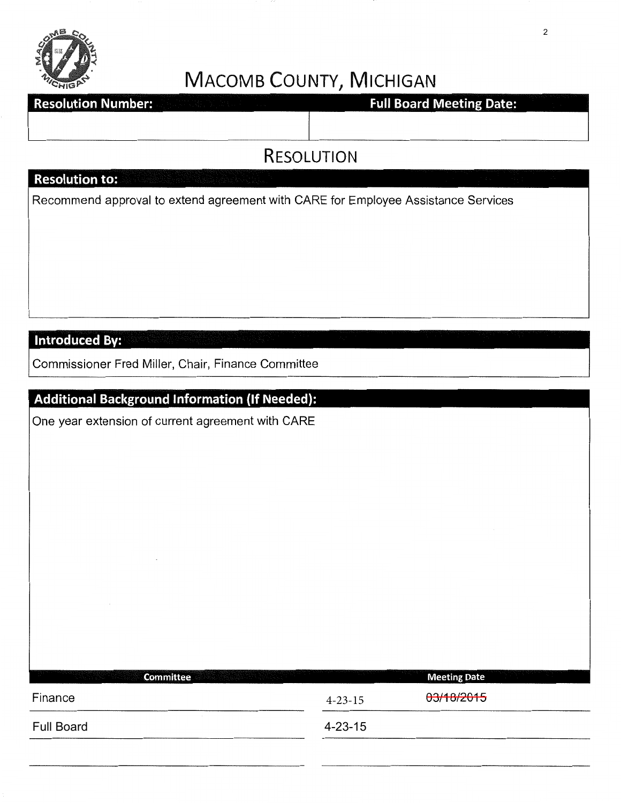

# MACOMB COUNTY, MICHIGAN

# **Resolution Number:**

# **Full Board Meeting Date:**

# RESOLUTION

# **Resolution to:**

Recommend approval to extend agreement with CARE for Employee Assistance Services

### **Introduced By:**

Commissioner Fred Miller, Chair, Finance Committee

## **Additional Background Information (If Needed):**

One year extension of current agreement with CARE

| Committee<br><b>The Committee of the Committee</b> |               | <b>Meeting Date</b> |
|----------------------------------------------------|---------------|---------------------|
| Finance                                            | $4 - 23 - 15$ | 03/18/2015          |
| <b>Full Board</b>                                  | $4 - 23 - 15$ |                     |
|                                                    |               |                     |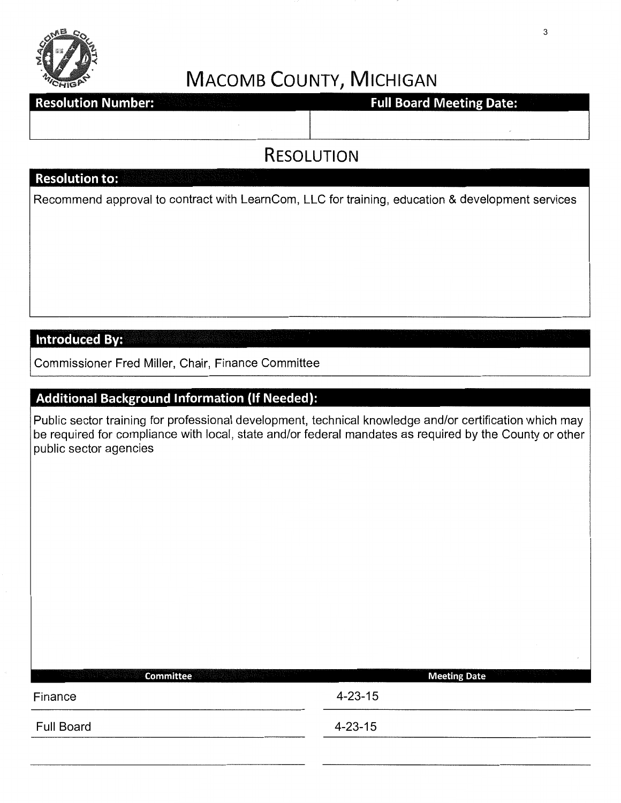

# MACOMB COUNTY, MICHIGAN

**Resolution Number:** 

## **Full Board Meeting Date:**

# RESOLUTION

## **Resolution to:**

Recommend approval to contract with LearnCom, LLC for training, education & development services

**Introduced By:** 

Commissioner Fred Miller, Chair, Finance Committee

## **Additional Background Information (If Needed):**

Public sector training for professional development, technical knowledge and/or certification which may be required for compliance with local, state and/or federal mandates as required by the County or other public sector agencies

| Committee<br>- TA : 1922 - 2021 - 2021 - 2022 - 2022 - 20 | <b>Meeting Date</b> |  |
|-----------------------------------------------------------|---------------------|--|
| Finance                                                   | $4 - 23 - 15$       |  |
| <b>Full Board</b>                                         | $4 - 23 - 15$       |  |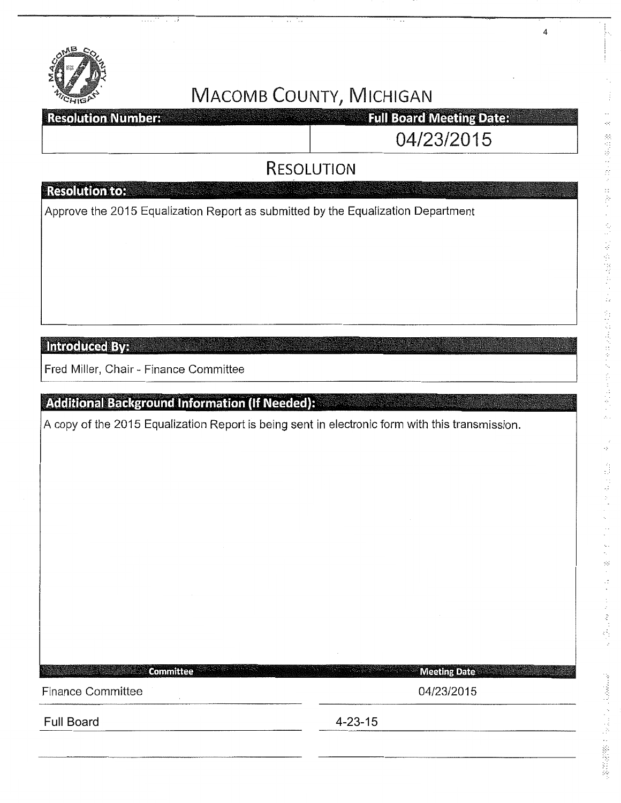

# **MACOMB COUNTY, MICHIGAN**

**Full Board Meeting Date: Resolution Numbers** 

04/23/2015

4

# **RESOLUTION**

## **Resolution to:**

Approve the 2015 Equalization Report as submitted by the Equalization Department

**Introduced By:** 

Fred Miller, Chair - Finance Committee

# Additional Background Information (If Needed):

A copy of the 2015 Equalization Report is being sent in electronic form with this transmission.

**Committee Meeting Date** Finance Committee **Districts** Committee **04/23/2015** Full Board **4-23-15**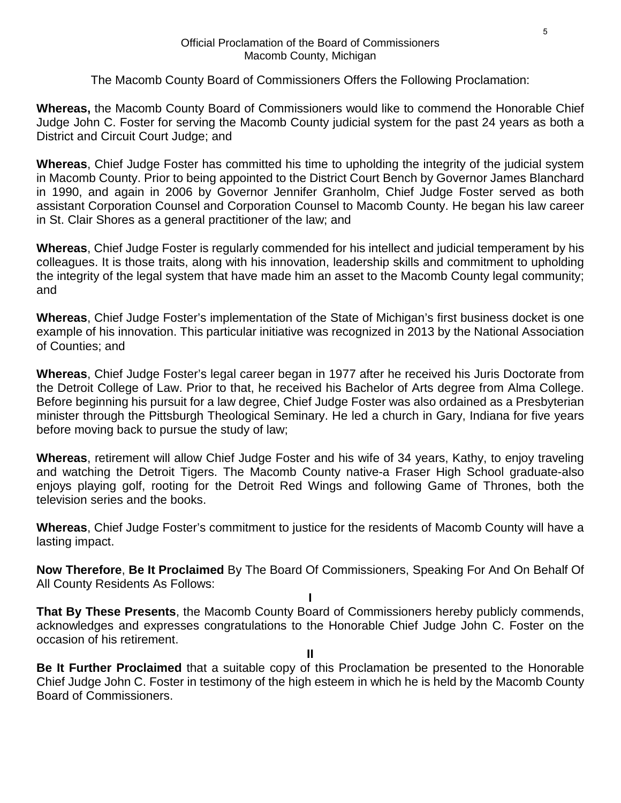#### Official Proclamation of the Board of Commissioners Macomb County, Michigan

### The Macomb County Board of Commissioners Offers the Following Proclamation:

**Whereas,** the Macomb County Board of Commissioners would like to commend the Honorable Chief Judge John C. Foster for serving the Macomb County judicial system for the past 24 years as both a District and Circuit Court Judge; and

**Whereas**, Chief Judge Foster has committed his time to upholding the integrity of the judicial system in Macomb County. Prior to being appointed to the District Court Bench by Governor James Blanchard in 1990, and again in 2006 by Governor Jennifer Granholm, Chief Judge Foster served as both assistant Corporation Counsel and Corporation Counsel to Macomb County. He began his law career in St. Clair Shores as a general practitioner of the law; and

**Whereas**, Chief Judge Foster is regularly commended for his intellect and judicial temperament by his colleagues. It is those traits, along with his innovation, leadership skills and commitment to upholding the integrity of the legal system that have made him an asset to the Macomb County legal community; and

**Whereas**, Chief Judge Foster's implementation of the State of Michigan's first business docket is one example of his innovation. This particular initiative was recognized in 2013 by the National Association of Counties; and

**Whereas**, Chief Judge Foster's legal career began in 1977 after he received his Juris Doctorate from the Detroit College of Law. Prior to that, he received his Bachelor of Arts degree from Alma College. Before beginning his pursuit for a law degree, Chief Judge Foster was also ordained as a Presbyterian minister through the Pittsburgh Theological Seminary. He led a church in Gary, Indiana for five years before moving back to pursue the study of law;

**Whereas**, retirement will allow Chief Judge Foster and his wife of 34 years, Kathy, to enjoy traveling and watching the Detroit Tigers. The Macomb County native-a Fraser High School graduate-also enjoys playing golf, rooting for the Detroit Red Wings and following Game of Thrones, both the television series and the books.

**Whereas**, Chief Judge Foster's commitment to justice for the residents of Macomb County will have a lasting impact.

**Now Therefore**, **Be It Proclaimed** By The Board Of Commissioners, Speaking For And On Behalf Of All County Residents As Follows:

**I That By These Presents**, the Macomb County Board of Commissioners hereby publicly commends, acknowledges and expresses congratulations to the Honorable Chief Judge John C. Foster on the occasion of his retirement.

**II**

**Be It Further Proclaimed** that a suitable copy of this Proclamation be presented to the Honorable Chief Judge John C. Foster in testimony of the high esteem in which he is held by the Macomb County Board of Commissioners.